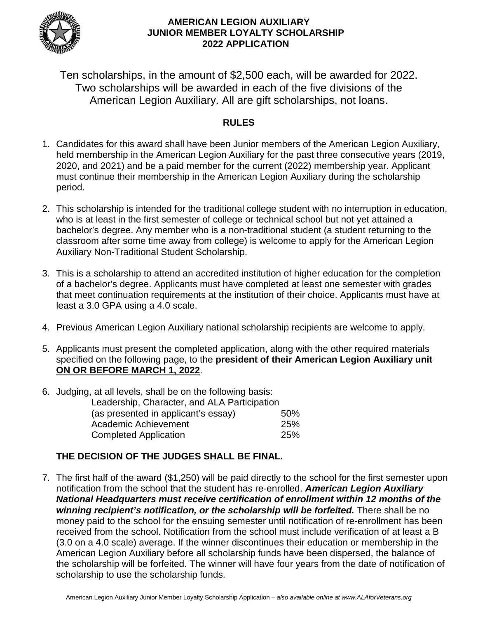

Ten scholarships, in the amount of \$2,500 each, will be awarded for 2022. Two scholarships will be awarded in each of the five divisions of the American Legion Auxiliary. All are gift scholarships, not loans.

## **RULES**

- 1. Candidates for this award shall have been Junior members of the American Legion Auxiliary, held membership in the American Legion Auxiliary for the past three consecutive years (2019, 2020, and 2021) and be a paid member for the current (2022) membership year. Applicant must continue their membership in the American Legion Auxiliary during the scholarship period.
- 2. This scholarship is intended for the traditional college student with no interruption in education, who is at least in the first semester of college or technical school but not yet attained a bachelor's degree. Any member who is a non-traditional student (a student returning to the classroom after some time away from college) is welcome to apply for the American Legion Auxiliary Non-Traditional Student Scholarship.
- 3. This is a scholarship to attend an accredited institution of higher education for the completion of a bachelor's degree. Applicants must have completed at least one semester with grades that meet continuation requirements at the institution of their choice. Applicants must have at least a 3.0 GPA using a 4.0 scale.
- 4. Previous American Legion Auxiliary national scholarship recipients are welcome to apply.
- 5. Applicants must present the completed application, along with the other required materials specified on the following page, to the **president of their American Legion Auxiliary unit ON OR BEFORE MARCH 1, 2022**.
- 6. Judging, at all levels, shall be on the following basis: Leadership, Character, and ALA Participation (as presented in applicant's essay) 50% Academic Achievement 25% Completed Application 25%

# **THE DECISION OF THE JUDGES SHALL BE FINAL.**

7. The first half of the award (\$1,250) will be paid directly to the school for the first semester upon notification from the school that the student has re-enrolled. *American Legion Auxiliary National Headquarters must receive certification of enrollment within 12 months of the* winning recipient's notification, or the scholarship will be forfeited. There shall be no money paid to the school for the ensuing semester until notification of re-enrollment has been received from the school. Notification from the school must include verification of at least a B (3.0 on a 4.0 scale) average. If the winner discontinues their education or membership in the American Legion Auxiliary before all scholarship funds have been dispersed, the balance of the scholarship will be forfeited. The winner will have four years from the date of notification of scholarship to use the scholarship funds.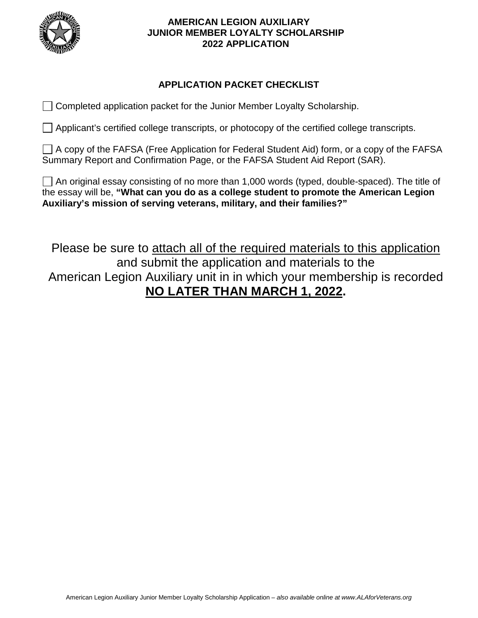

## **APPLICATION PACKET CHECKLIST**

Completed application packet for the Junior Member Loyalty Scholarship.

Applicant's certified college transcripts, or photocopy of the certified college transcripts.

A copy of the FAFSA (Free Application for Federal Student Aid) form, or a copy of the FAFSA Summary Report and Confirmation Page, or the FAFSA Student Aid Report (SAR).

 $\Box$  An original essay consisting of no more than 1,000 words (typed, double-spaced). The title of the essay will be, **"What can you do as a college student to promote the American Legion Auxiliary's mission of serving veterans, military, and their families?"**

Please be sure to attach all of the required materials to this application and submit the application and materials to the American Legion Auxiliary unit in in which your membership is recorded **NO LATER THAN MARCH 1, 2022.**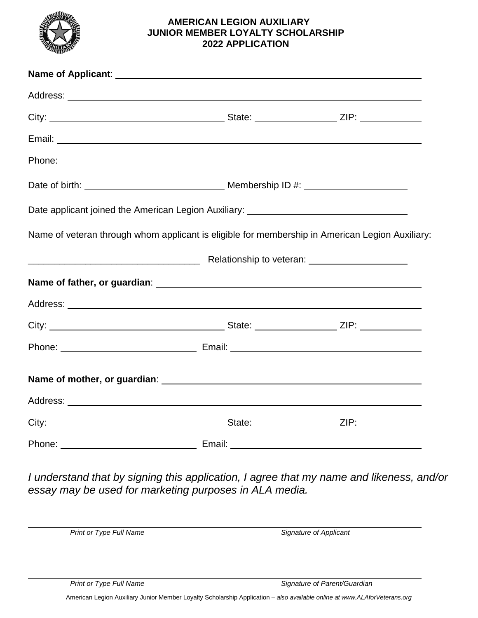

| Date applicant joined the American Legion Auxiliary: ___________________________                |  |
|-------------------------------------------------------------------------------------------------|--|
| Name of veteran through whom applicant is eligible for membership in American Legion Auxiliary: |  |
| ———————————————————— Relationship to veteran: __________________________________                |  |
| Name of father, or guardian: Name of father, or guardian:                                       |  |
|                                                                                                 |  |
|                                                                                                 |  |
|                                                                                                 |  |
|                                                                                                 |  |
|                                                                                                 |  |
|                                                                                                 |  |
|                                                                                                 |  |

*I understand that by signing this application, I agree that my name and likeness, and/or essay may be used for marketing purposes in ALA media.*

 $\overline{a}$ 

 $\overline{a}$ 

*Print or Type Full Name Signature of Applicant*

*Print or Type Full Name Signature of Parent/Guardian*

American Legion Auxiliary Junior Member Loyalty Scholarship Application – *also available online at www.ALAforVeterans.org*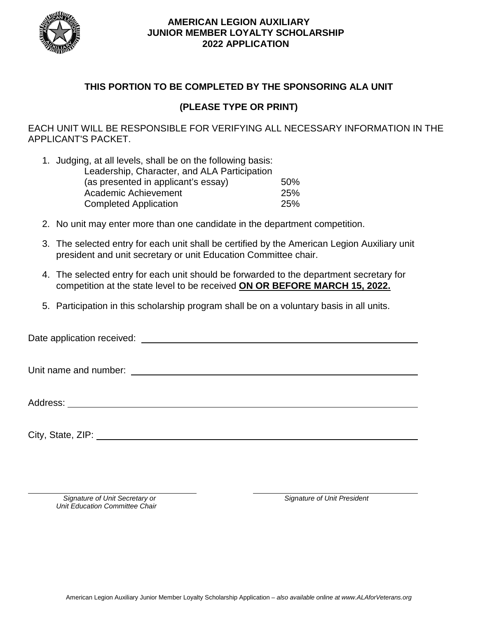

## **THIS PORTION TO BE COMPLETED BY THE SPONSORING ALA UNIT**

# **(PLEASE TYPE OR PRINT)**

EACH UNIT WILL BE RESPONSIBLE FOR VERIFYING ALL NECESSARY INFORMATION IN THE APPLICANT'S PACKET.

| 1. Judging, at all levels, shall be on the following basis: |            |
|-------------------------------------------------------------|------------|
| Leadership, Character, and ALA Participation                |            |
| (as presented in applicant's essay)                         | 50%        |
| Academic Achievement                                        | <b>25%</b> |
| <b>Completed Application</b>                                | <b>25%</b> |

- 2. No unit may enter more than one candidate in the department competition.
- 3. The selected entry for each unit shall be certified by the American Legion Auxiliary unit president and unit secretary or unit Education Committee chair.
- 4. The selected entry for each unit should be forwarded to the department secretary for competition at the state level to be received **ON OR BEFORE MARCH 15, 2022.**
- 5. Participation in this scholarship program shall be on a voluntary basis in all units.

Date application received: **Example 2018** 

Unit name and number:

Address: **Address: Address: Address: Address: Address: Address: Address: Address: Address: Address: Address: Address: Address: Address: Address: Address: Address: Address: Address: Add** 

City, State, ZIP:  $\qquad \qquad$ 

*Signature of Unit Secretary or Signature of Unit President Unit Education Committee Chair*